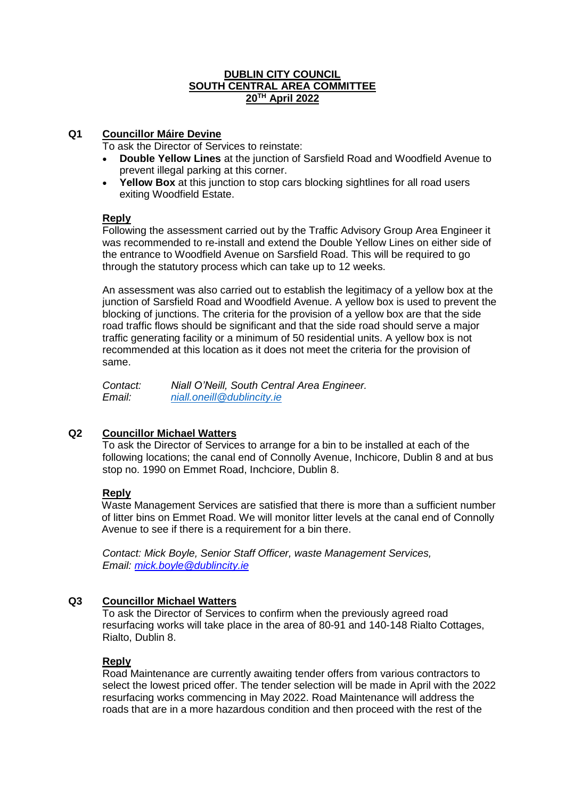## **DUBLIN CITY COUNCIL SOUTH CENTRAL AREA COMMITTEE 20TH April 2022**

# **Q1 Councillor Máire Devine**

To ask the Director of Services to reinstate:

- **Double Yellow Lines** at the junction of Sarsfield Road and Woodfield Avenue to prevent illegal parking at this corner.
- **Yellow Box** at this junction to stop cars blocking sightlines for all road users exiting Woodfield Estate.

# **Reply**

Following the assessment carried out by the Traffic Advisory Group Area Engineer it was recommended to re-install and extend the Double Yellow Lines on either side of the entrance to Woodfield Avenue on Sarsfield Road. This will be required to go through the statutory process which can take up to 12 weeks.

An assessment was also carried out to establish the legitimacy of a yellow box at the junction of Sarsfield Road and Woodfield Avenue. A yellow box is used to prevent the blocking of junctions. The criteria for the provision of a yellow box are that the side road traffic flows should be significant and that the side road should serve a major traffic generating facility or a minimum of 50 residential units. A yellow box is not recommended at this location as it does not meet the criteria for the provision of same.

*Contact: Niall O'Neill, South Central Area Engineer. Email: [niall.oneill@dublincity.ie](mailto:niall.oneill@dublincity.ie)*

# **Q2 Councillor Michael Watters**

To ask the Director of Services to arrange for a bin to be installed at each of the following locations; the canal end of Connolly Avenue, Inchicore, Dublin 8 and at bus stop no. 1990 on Emmet Road, Inchciore, Dublin 8.

# **Reply**

Waste Management Services are satisfied that there is more than a sufficient number of litter bins on Emmet Road. We will monitor litter levels at the canal end of Connolly Avenue to see if there is a requirement for a bin there.

*Contact: Mick Boyle, Senior Staff Officer, waste Management Services, Email: [mick.boyle@dublincity.ie](mailto:mick.boyle@dublincity.ie)*

# **Q3 Councillor Michael Watters**

To ask the Director of Services to confirm when the previously agreed road resurfacing works will take place in the area of 80-91 and 140-148 Rialto Cottages, Rialto, Dublin 8.

# **Reply**

Road Maintenance are currently awaiting tender offers from various contractors to select the lowest priced offer. The tender selection will be made in April with the 2022 resurfacing works commencing in May 2022. Road Maintenance will address the roads that are in a more hazardous condition and then proceed with the rest of the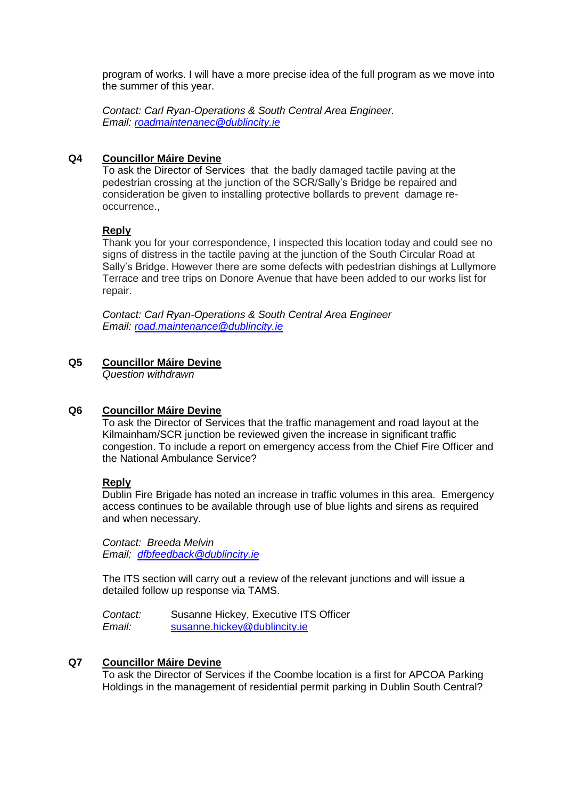program of works. I will have a more precise idea of the full program as we move into the summer of this year.

*Contact: Carl Ryan-Operations & South Central Area Engineer. Email: [roadmaintenanec@dublincity.ie](mailto:roadmaintenanec@dublincity.ie)*

## **Q4 Councillor Máire Devine**

To ask the Director of Services that the badly damaged tactile paving at the pedestrian crossing at the junction of the SCR/Sally's Bridge be repaired and consideration be given to installing protective bollards to prevent damage reoccurrence.,

## **Reply**

Thank you for your correspondence, I inspected this location today and could see no signs of distress in the tactile paving at the junction of the South Circular Road at Sally's Bridge. However there are some defects with pedestrian dishings at Lullymore Terrace and tree trips on Donore Avenue that have been added to our works list for repair.

*Contact: Carl Ryan-Operations & South Central Area Engineer Email: [road.maintenance@dublincity.ie](mailto:road.maintenance@dublincity.ie)*

## **Q5 Councillor Máire Devine**

*Question withdrawn*

### **Q6 Councillor Máire Devine**

To ask the Director of Services that the traffic management and road layout at the Kilmainham/SCR junction be reviewed given the increase in significant traffic congestion. To include a report on emergency access from the Chief Fire Officer and the National Ambulance Service?

### **Reply**

Dublin Fire Brigade has noted an increase in traffic volumes in this area. Emergency access continues to be available through use of blue lights and sirens as required and when necessary.

*Contact: Breeda Melvin Email: [dfbfeedback@dublincity.ie](mailto:dfbfeedback@dublincity.ie)*

The ITS section will carry out a review of the relevant junctions and will issue a detailed follow up response via TAMS.

*Contact:* Susanne Hickey, Executive ITS Officer *Email:* [susanne.hickey@dublincity.ie](mailto:susanne.hickey@dublincity.ie)

## **Q7 Councillor Máire Devine**

To ask the Director of Services if the Coombe location is a first for APCOA Parking Holdings in the management of residential permit parking in Dublin South Central?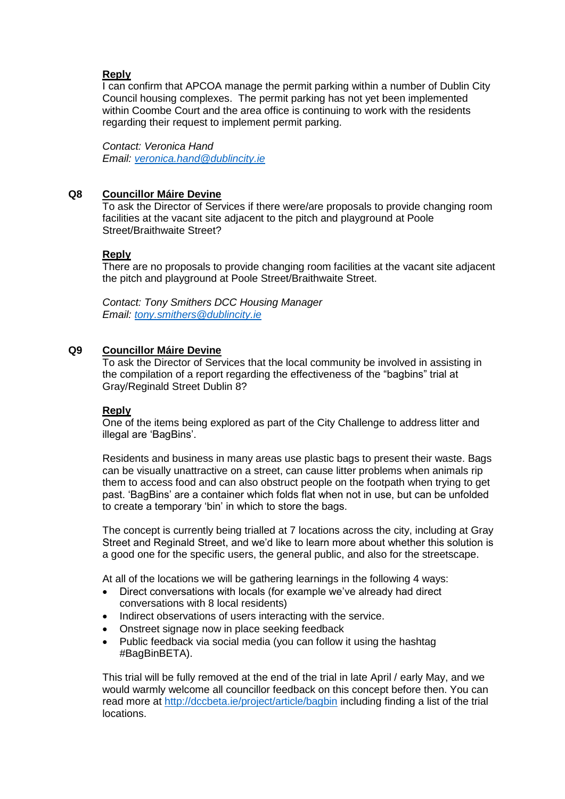# **Reply**

I can confirm that APCOA manage the permit parking within a number of Dublin City Council housing complexes. The permit parking has not yet been implemented within Coombe Court and the area office is continuing to work with the residents regarding their request to implement permit parking.

*Contact: Veronica Hand Email: [veronica.hand@dublincity.ie](mailto:veronica.hand@dublincity.ie)*

# **Q8 Councillor Máire Devine**

To ask the Director of Services if there were/are proposals to provide changing room facilities at the vacant site adjacent to the pitch and playground at Poole Street/Braithwaite Street?

# **Reply**

There are no proposals to provide changing room facilities at the vacant site adjacent the pitch and playground at Poole Street/Braithwaite Street.

*Contact: Tony Smithers DCC Housing Manager Email: [tony.smithers@dublincity.ie](mailto:tony.smithers@dublincity.ie)*

# **Q9 Councillor Máire Devine**

To ask the Director of Services that the local community be involved in assisting in the compilation of a report regarding the effectiveness of the "bagbins" trial at Gray/Reginald Street Dublin 8?

# **Reply**

One of the items being explored as part of the City Challenge to address litter and illegal are 'BagBins'.

Residents and business in many areas use plastic bags to present their waste. Bags can be visually unattractive on a street, can cause litter problems when animals rip them to access food and can also obstruct people on the footpath when trying to get past. 'BagBins' are a container which folds flat when not in use, but can be unfolded to create a temporary 'bin' in which to store the bags.

The concept is currently being trialled at 7 locations across the city, including at Gray Street and Reginald Street, and we'd like to learn more about whether this solution is a good one for the specific users, the general public, and also for the streetscape.

At all of the locations we will be gathering learnings in the following 4 ways:

- Direct conversations with locals (for example we've already had direct conversations with 8 local residents)
- Indirect observations of users interacting with the service.
- Onstreet signage now in place seeking feedback
- Public feedback via social media (you can follow it using the hashtag #BagBinBETA).

This trial will be fully removed at the end of the trial in late April / early May, and we would warmly welcome all councillor feedback on this concept before then. You can read more at<http://dccbeta.ie/project/article/bagbin> including finding a list of the trial locations.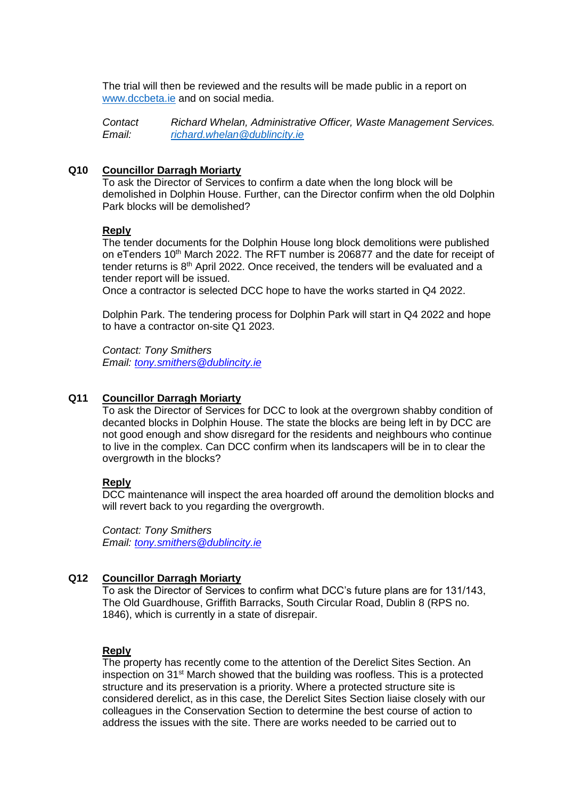The trial will then be reviewed and the results will be made public in a report on [www.dccbeta.ie](http://www.dccbeta.ie/) and on social media.

*Contact Richard Whelan, Administrative Officer, Waste Management Services. Email: [richard.whelan@dublincity.ie](mailto:richard.whelan@dublincity.ie)*

### **Q10 Councillor Darragh Moriarty**

To ask the Director of Services to confirm a date when the long block will be demolished in Dolphin House. Further, can the Director confirm when the old Dolphin Park blocks will be demolished?

#### **Reply**

The tender documents for the Dolphin House long block demolitions were published on eTenders 10<sup>th</sup> March 2022. The RFT number is 206877 and the date for receipt of tender returns is  $8<sup>th</sup>$  April 2022. Once received, the tenders will be evaluated and a tender report will be issued.

Once a contractor is selected DCC hope to have the works started in Q4 2022.

Dolphin Park. The tendering process for Dolphin Park will start in Q4 2022 and hope to have a contractor on-site Q1 2023.

*Contact: Tony Smithers Email: [tony.smithers@dublincity.ie](mailto:tony.smithers@dublincity.ie)*

### **Q11 Councillor Darragh Moriarty**

To ask the Director of Services for DCC to look at the overgrown shabby condition of decanted blocks in Dolphin House. The state the blocks are being left in by DCC are not good enough and show disregard for the residents and neighbours who continue to live in the complex. Can DCC confirm when its landscapers will be in to clear the overgrowth in the blocks?

#### **Reply**

DCC maintenance will inspect the area hoarded off around the demolition blocks and will revert back to you regarding the overgrowth.

*Contact: Tony Smithers Email: [tony.smithers@dublincity.ie](mailto:tony.smithers@dublincity.ie)*

## **Q12 Councillor Darragh Moriarty**

To ask the Director of Services to confirm what DCC's future plans are for 131/143, The Old Guardhouse, Griffith Barracks, South Circular Road, Dublin 8 (RPS no. 1846), which is currently in a state of disrepair.

## **Reply**

The property has recently come to the attention of the Derelict Sites Section. An inspection on 31st March showed that the building was roofless. This is a protected structure and its preservation is a priority. Where a protected structure site is considered derelict, as in this case, the Derelict Sites Section liaise closely with our colleagues in the Conservation Section to determine the best course of action to address the issues with the site. There are works needed to be carried out to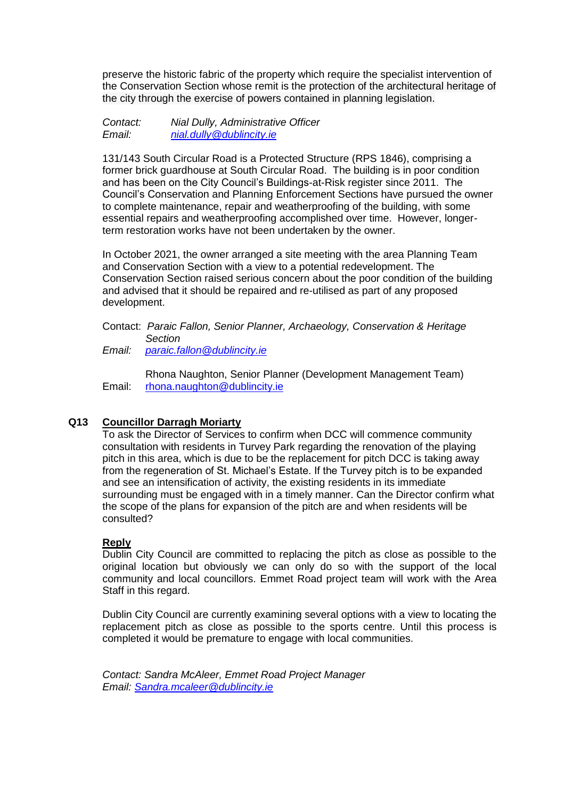preserve the historic fabric of the property which require the specialist intervention of the Conservation Section whose remit is the protection of the architectural heritage of the city through the exercise of powers contained in planning legislation.

*Contact: Nial Dully, Administrative Officer Email: [nial.dully@dublincity.ie](mailto:nial.dully@dublincity.ie)*

131/143 South Circular Road is a Protected Structure (RPS 1846), comprising a former brick guardhouse at South Circular Road. The building is in poor condition and has been on the City Council's Buildings-at-Risk register since 2011. The Council's Conservation and Planning Enforcement Sections have pursued the owner to complete maintenance, repair and weatherproofing of the building, with some essential repairs and weatherproofing accomplished over time. However, longerterm restoration works have not been undertaken by the owner.

In October 2021, the owner arranged a site meeting with the area Planning Team and Conservation Section with a view to a potential redevelopment. The Conservation Section raised serious concern about the poor condition of the building and advised that it should be repaired and re-utilised as part of any proposed development.

### Contact: *Paraic Fallon, Senior Planner, Archaeology, Conservation & Heritage Section*

*Email: [paraic.fallon@dublincity.ie](mailto:paraic.fallon@dublincity.ie)*

 Rhona Naughton, Senior Planner (Development Management Team) Email: [rhona.naughton@dublincity.ie](mailto:rhona.naughton@dublincity.ie)

# **Q13 Councillor Darragh Moriarty**

To ask the Director of Services to confirm when DCC will commence community consultation with residents in Turvey Park regarding the renovation of the playing pitch in this area, which is due to be the replacement for pitch DCC is taking away from the regeneration of St. Michael's Estate. If the Turvey pitch is to be expanded and see an intensification of activity, the existing residents in its immediate surrounding must be engaged with in a timely manner. Can the Director confirm what the scope of the plans for expansion of the pitch are and when residents will be consulted?

# **Reply**

Dublin City Council are committed to replacing the pitch as close as possible to the original location but obviously we can only do so with the support of the local community and local councillors. Emmet Road project team will work with the Area Staff in this regard.

Dublin City Council are currently examining several options with a view to locating the replacement pitch as close as possible to the sports centre. Until this process is completed it would be premature to engage with local communities.

*Contact: Sandra McAleer, Emmet Road Project Manager Email: [Sandra.mcaleer@dublincity.ie](mailto:Sandra.mcaleer@dublincity.ie)*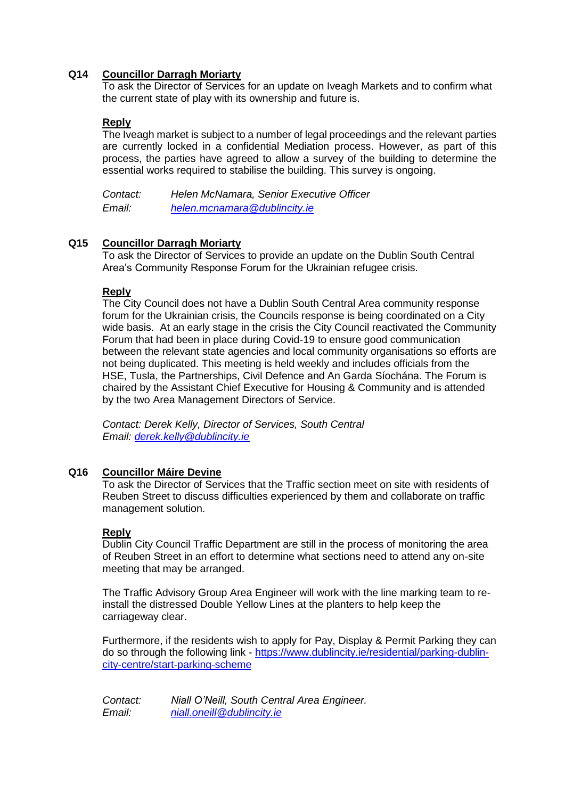# **Q14 Councillor Darragh Moriarty**

To ask the Director of Services for an update on Iveagh Markets and to confirm what the current state of play with its ownership and future is.

# **Reply**

The Iveagh market is subject to a number of legal proceedings and the relevant parties are currently locked in a confidential Mediation process. However, as part of this process, the parties have agreed to allow a survey of the building to determine the essential works required to stabilise the building. This survey is ongoing.

| Contact:      | Helen McNamara, Senior Executive Officer |
|---------------|------------------------------------------|
| <i>Email:</i> | helen.mcnamara@dublincity.ie             |

# **Q15 Councillor Darragh Moriarty**

To ask the Director of Services to provide an update on the Dublin South Central Area's Community Response Forum for the Ukrainian refugee crisis.

## **Reply**

The City Council does not have a Dublin South Central Area community response forum for the Ukrainian crisis, the Councils response is being coordinated on a City wide basis. At an early stage in the crisis the City Council reactivated the Community Forum that had been in place during Covid-19 to ensure good communication between the relevant state agencies and local community organisations so efforts are not being duplicated. This meeting is held weekly and includes officials from the HSE, Tusla, the Partnerships, Civil Defence and An Garda Síochána. The Forum is chaired by the Assistant Chief Executive for Housing & Community and is attended by the two Area Management Directors of Service.

*Contact: Derek Kelly, Director of Services, South Central Email: [derek.kelly@dublincity.ie](mailto:derek.kelly@dublincity.ie)*

# **Q16 Councillor Máire Devine**

To ask the Director of Services that the Traffic section meet on site with residents of Reuben Street to discuss difficulties experienced by them and collaborate on traffic management solution.

# **Reply**

Dublin City Council Traffic Department are still in the process of monitoring the area of Reuben Street in an effort to determine what sections need to attend any on-site meeting that may be arranged.

The Traffic Advisory Group Area Engineer will work with the line marking team to reinstall the distressed Double Yellow Lines at the planters to help keep the carriageway clear.

Furthermore, if the residents wish to apply for Pay, Display & Permit Parking they can do so through the following link - [https://www.dublincity.ie/residential/parking-dublin](https://www.dublincity.ie/residential/parking-dublin-city-centre/start-parking-scheme)[city-centre/start-parking-scheme](https://www.dublincity.ie/residential/parking-dublin-city-centre/start-parking-scheme)

*Contact: Niall O'Neill, South Central Area Engineer. Email: [niall.oneill@dublincity.ie](mailto:niall.oneill@dublincity.ie)*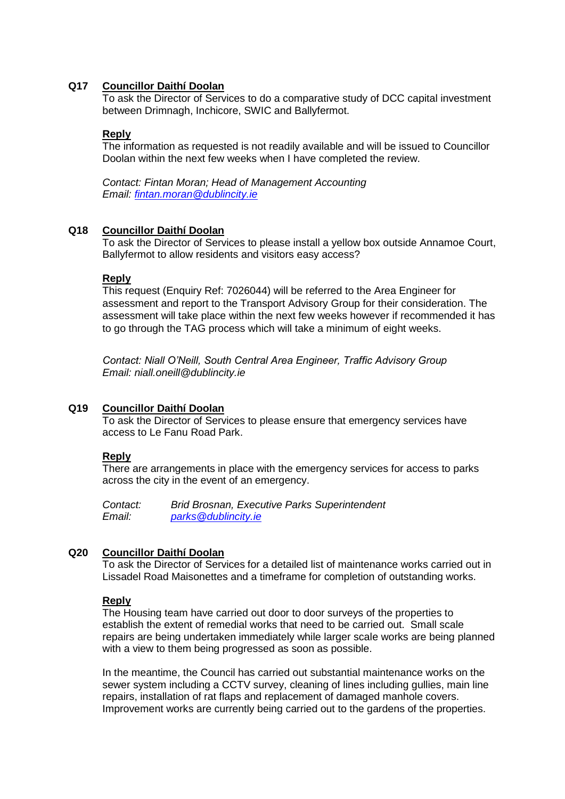## **Q17 Councillor Daithí Doolan**

To ask the Director of Services to do a comparative study of DCC capital investment between Drimnagh, Inchicore, SWIC and Ballyfermot.

### **Reply**

The information as requested is not readily available and will be issued to Councillor Doolan within the next few weeks when I have completed the review.

*Contact: Fintan Moran; Head of Management Accounting Email: [fintan.moran@dublincity.ie](mailto:fintan.moran@dublincity.ie)*

### **Q18 Councillor Daithí Doolan**

To ask the Director of Services to please install a yellow box outside Annamoe Court, Ballyfermot to allow residents and visitors easy access?

### **Reply**

This request (Enquiry Ref: 7026044) will be referred to the Area Engineer for assessment and report to the Transport Advisory Group for their consideration. The assessment will take place within the next few weeks however if recommended it has to go through the TAG process which will take a minimum of eight weeks.

*Contact: Niall O'Neill, South Central Area Engineer, Traffic Advisory Group Email: [niall.oneill@dublincity.ie](mailto:donals.brennan@dublincity.ie)*

### **Q19 Councillor Daithí Doolan**

To ask the Director of Services to please ensure that emergency services have access to Le Fanu Road Park.

### **Reply**

There are arrangements in place with the emergency services for access to parks across the city in the event of an emergency.

*Contact: Brid Brosnan, Executive Parks Superintendent Email: [parks@dublincity.ie](mailto:parks@dublincity.ie)*

# **Q20 Councillor Daithí Doolan**

To ask the Director of Services for a detailed list of maintenance works carried out in Lissadel Road Maisonettes and a timeframe for completion of outstanding works.

### **Reply**

The Housing team have carried out door to door surveys of the properties to establish the extent of remedial works that need to be carried out. Small scale repairs are being undertaken immediately while larger scale works are being planned with a view to them being progressed as soon as possible.

In the meantime, the Council has carried out substantial maintenance works on the sewer system including a CCTV survey, cleaning of lines including gullies, main line repairs, installation of rat flaps and replacement of damaged manhole covers. Improvement works are currently being carried out to the gardens of the properties.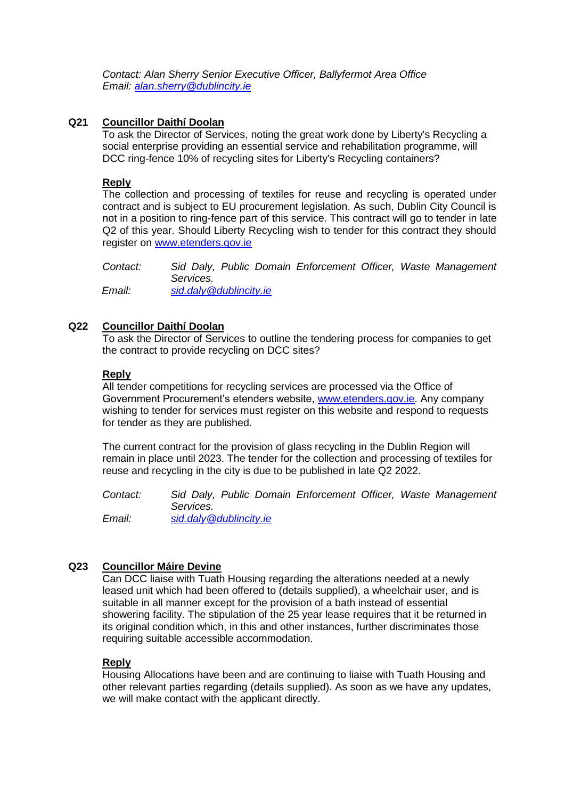*Contact: Alan Sherry Senior Executive Officer, Ballyfermot Area Office Email: [alan.sherry@dublincity.ie](mailto:alan.sherry@dublincity.ie)*

# **Q21 Councillor Daithí Doolan**

To ask the Director of Services, noting the great work done by Liberty's Recycling a social enterprise providing an essential service and rehabilitation programme, will DCC ring-fence 10% of recycling sites for Liberty's Recycling containers?

# **Reply**

The collection and processing of textiles for reuse and recycling is operated under contract and is subject to EU procurement legislation. As such, Dublin City Council is not in a position to ring-fence part of this service. This contract will go to tender in late Q2 of this year. Should Liberty Recycling wish to tender for this contract they should register on [www.etenders.gov.ie](http://www.etenders.gov.ie/)

*Contact: Sid Daly, Public Domain Enforcement Officer, Waste Management Services. Email: [sid.daly@dublincity.ie](mailto:sid.daly@dublincity.ie)*

# **Q22 Councillor Daithí Doolan**

To ask the Director of Services to outline the tendering process for companies to get the contract to provide recycling on DCC sites?

# **Reply**

All tender competitions for recycling services are processed via the Office of Government Procurement's etenders website, [www.etenders.gov.ie.](http://www.etenders.gov.ie/) Any company wishing to tender for services must register on this website and respond to requests for tender as they are published.

The current contract for the provision of glass recycling in the Dublin Region will remain in place until 2023. The tender for the collection and processing of textiles for reuse and recycling in the city is due to be published in late Q2 2022.

*Contact: Sid Daly, Public Domain Enforcement Officer, Waste Management Services. Email: [sid.daly@dublincity.ie](mailto:sid.daly@dublincity.ie)*

# **Q23 Councillor Máire Devine**

Can DCC liaise with Tuath Housing regarding the alterations needed at a newly leased unit which had been offered to (details supplied), a wheelchair user, and is suitable in all manner except for the provision of a bath instead of essential showering facility. The stipulation of the 25 year lease requires that it be returned in its original condition which, in this and other instances, further discriminates those requiring suitable accessible accommodation.

# **Reply**

Housing Allocations have been and are continuing to liaise with Tuath Housing and other relevant parties regarding (details supplied). As soon as we have any updates, we will make contact with the applicant directly.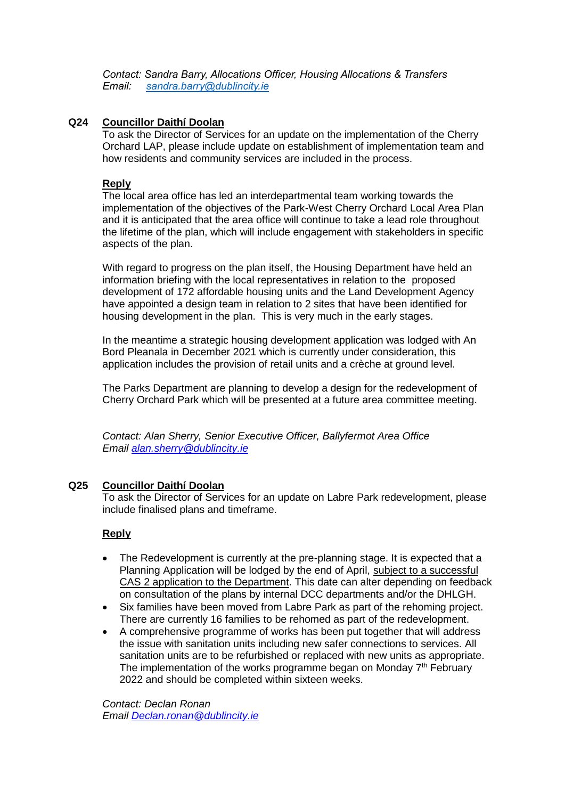*Contact: Sandra Barry, Allocations Officer, Housing Allocations & Transfers Email: [sandra.barry@dublincity.ie](mailto:sandra.barry@dublincity.ie)*

# **Q24 Councillor Daithí Doolan**

To ask the Director of Services for an update on the implementation of the Cherry Orchard LAP, please include update on establishment of implementation team and how residents and community services are included in the process.

# **Reply**

The local area office has led an interdepartmental team working towards the implementation of the objectives of the Park-West Cherry Orchard Local Area Plan and it is anticipated that the area office will continue to take a lead role throughout the lifetime of the plan, which will include engagement with stakeholders in specific aspects of the plan.

With regard to progress on the plan itself, the Housing Department have held an information briefing with the local representatives in relation to the proposed development of 172 affordable housing units and the Land Development Agency have appointed a design team in relation to 2 sites that have been identified for housing development in the plan. This is very much in the early stages.

In the meantime a strategic housing development application was lodged with An Bord Pleanala in December 2021 which is currently under consideration, this application includes the provision of retail units and a crèche at ground level.

The Parks Department are planning to develop a design for the redevelopment of Cherry Orchard Park which will be presented at a future area committee meeting.

*Contact: Alan Sherry, Senior Executive Officer, Ballyfermot Area Office Email [alan.sherry@dublincity.ie](mailto:alan.sherry@dublincity.ie)*

# **Q25 Councillor Daithí Doolan**

To ask the Director of Services for an update on Labre Park redevelopment, please include finalised plans and timeframe.

# **Reply**

- The Redevelopment is currently at the pre-planning stage. It is expected that a Planning Application will be lodged by the end of April, subject to a successful CAS 2 application to the Department. This date can alter depending on feedback on consultation of the plans by internal DCC departments and/or the DHLGH.
- Six families have been moved from Labre Park as part of the rehoming project. There are currently 16 families to be rehomed as part of the redevelopment.
- A comprehensive programme of works has been put together that will address the issue with sanitation units including new safer connections to services. All sanitation units are to be refurbished or replaced with new units as appropriate. The implementation of the works programme began on Monday  $7<sup>th</sup>$  February 2022 and should be completed within sixteen weeks.

*Contact: Declan Ronan Email [Declan.ronan@dublincity.ie](mailto:Declan.ronan@dublincity.ie)*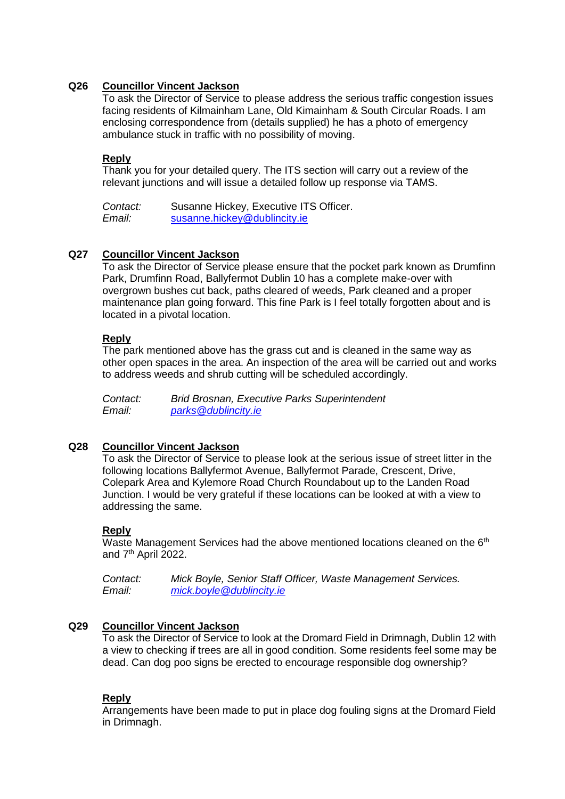# **Q26 Councillor Vincent Jackson**

To ask the Director of Service to please address the serious traffic congestion issues facing residents of Kilmainham Lane, Old Kimainham & South Circular Roads. I am enclosing correspondence from (details supplied) he has a photo of emergency ambulance stuck in traffic with no possibility of moving.

# **Reply**

Thank you for your detailed query. The ITS section will carry out a review of the relevant junctions and will issue a detailed follow up response via TAMS.

*Contact:* Susanne Hickey, Executive ITS Officer. *Email:* [susanne.hickey@dublincity.ie](mailto:susanne.hickey@dublincity.ie)

# **Q27 Councillor Vincent Jackson**

To ask the Director of Service please ensure that the pocket park known as Drumfinn Park, Drumfinn Road, Ballyfermot Dublin 10 has a complete make-over with overgrown bushes cut back, paths cleared of weeds, Park cleaned and a proper maintenance plan going forward. This fine Park is I feel totally forgotten about and is located in a pivotal location.

# **Reply**

The park mentioned above has the grass cut and is cleaned in the same way as other open spaces in the area. An inspection of the area will be carried out and works to address weeds and shrub cutting will be scheduled accordingly.

*Contact: Brid Brosnan, Executive Parks Superintendent Email: [parks@dublincity.ie](mailto:parks@dublincity.ie)*

# **Q28 Councillor Vincent Jackson**

To ask the Director of Service to please look at the serious issue of street litter in the following locations Ballyfermot Avenue, Ballyfermot Parade, Crescent, Drive, Colepark Area and Kylemore Road Church Roundabout up to the Landen Road Junction. I would be very grateful if these locations can be looked at with a view to addressing the same.

# **Reply**

Waste Management Services had the above mentioned locations cleaned on the 6<sup>th</sup> and 7<sup>th</sup> April 2022.

*Contact: Mick Boyle, Senior Staff Officer, Waste Management Services. Email: [mick.boyle@dublincity.ie](mailto:mick.boyle@dublincity.ie)*

# **Q29 Councillor Vincent Jackson**

To ask the Director of Service to look at the Dromard Field in Drimnagh, Dublin 12 with a view to checking if trees are all in good condition. Some residents feel some may be dead. Can dog poo signs be erected to encourage responsible dog ownership?

# **Reply**

Arrangements have been made to put in place dog fouling signs at the Dromard Field in Drimnagh.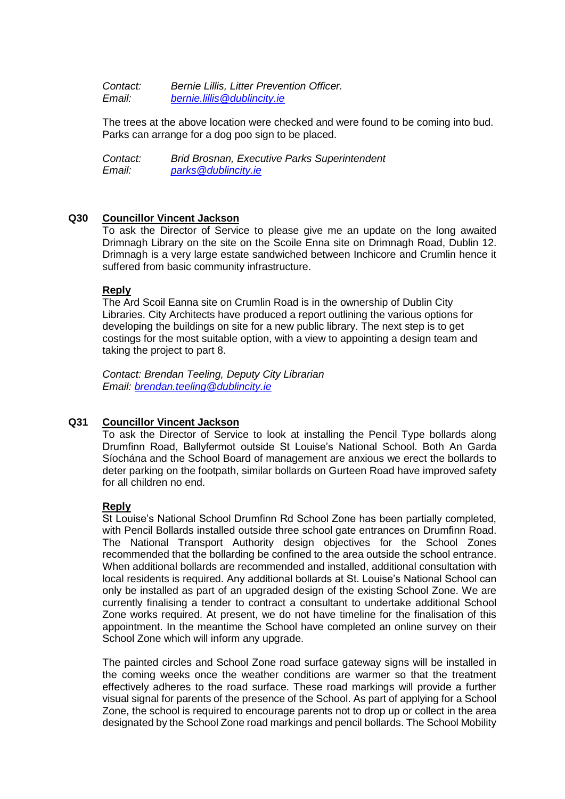*Contact: Bernie Lillis, Litter Prevention Officer. Email: [bernie.lillis@dublincity.ie](mailto:bernie.lillis@dublincity.ie)*

The trees at the above location were checked and were found to be coming into bud. Parks can arrange for a dog poo sign to be placed.

*Contact: Brid Brosnan, Executive Parks Superintendent Email: [parks@dublincity.ie](mailto:parks@dublincity.ie)*

## **Q30 Councillor Vincent Jackson**

To ask the Director of Service to please give me an update on the long awaited Drimnagh Library on the site on the Scoile Enna site on Drimnagh Road, Dublin 12. Drimnagh is a very large estate sandwiched between Inchicore and Crumlin hence it suffered from basic community infrastructure.

## **Reply**

The Ard Scoil Eanna site on Crumlin Road is in the ownership of Dublin City Libraries. City Architects have produced a report outlining the various options for developing the buildings on site for a new public library. The next step is to get costings for the most suitable option, with a view to appointing a design team and taking the project to part 8.

*Contact: Brendan Teeling, Deputy City Librarian Email: [brendan.teeling@dublincity.ie](mailto:brendan.teeling@dublincity.ie)*

# **Q31 Councillor Vincent Jackson**

To ask the Director of Service to look at installing the Pencil Type bollards along Drumfinn Road, Ballyfermot outside St Louise's National School. Both An Garda Síochána and the School Board of management are anxious we erect the bollards to deter parking on the footpath, similar bollards on Gurteen Road have improved safety for all children no end.

### **Reply**

St Louise's National School Drumfinn Rd School Zone has been partially completed, with Pencil Bollards installed outside three school gate entrances on Drumfinn Road. The National Transport Authority design objectives for the School Zones recommended that the bollarding be confined to the area outside the school entrance. When additional bollards are recommended and installed, additional consultation with local residents is required. Any additional bollards at St. Louise's National School can only be installed as part of an upgraded design of the existing School Zone. We are currently finalising a tender to contract a consultant to undertake additional School Zone works required. At present, we do not have timeline for the finalisation of this appointment. In the meantime the School have completed an online survey on their School Zone which will inform any upgrade.

The painted circles and School Zone road surface gateway signs will be installed in the coming weeks once the weather conditions are warmer so that the treatment effectively adheres to the road surface. These road markings will provide a further visual signal for parents of the presence of the School. As part of applying for a School Zone, the school is required to encourage parents not to drop up or collect in the area designated by the School Zone road markings and pencil bollards. The School Mobility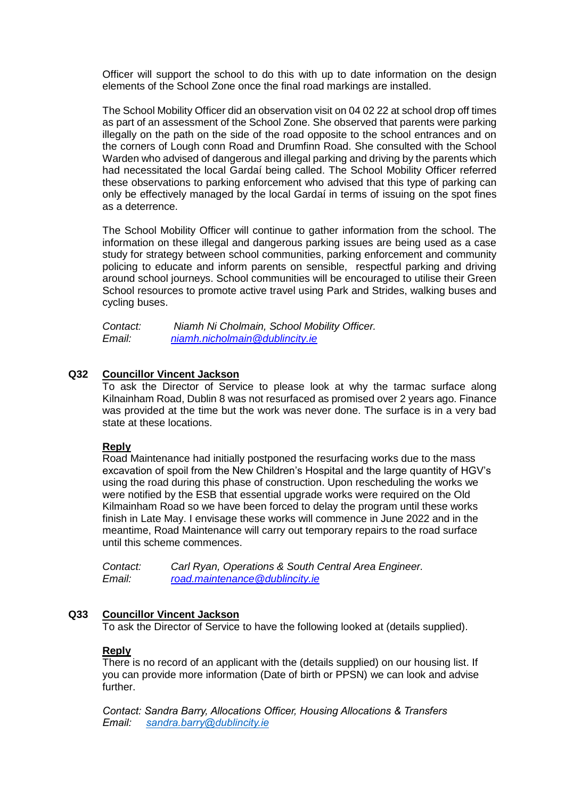Officer will support the school to do this with up to date information on the design elements of the School Zone once the final road markings are installed.

The School Mobility Officer did an observation visit on 04 02 22 at school drop off times as part of an assessment of the School Zone. She observed that parents were parking illegally on the path on the side of the road opposite to the school entrances and on the corners of Lough conn Road and Drumfinn Road. She consulted with the School Warden who advised of dangerous and illegal parking and driving by the parents which had necessitated the local Gardaí being called. The School Mobility Officer referred these observations to parking enforcement who advised that this type of parking can only be effectively managed by the local Gardaí in terms of issuing on the spot fines as a deterrence.

The School Mobility Officer will continue to gather information from the school. The information on these illegal and dangerous parking issues are being used as a case study for strategy between school communities, parking enforcement and community policing to educate and inform parents on sensible, respectful parking and driving around school journeys. School communities will be encouraged to utilise their Green School resources to promote active travel using Park and Strides, walking buses and cycling buses.

| Contact: | Niamh Ni Cholmain, School Mobility Officer. |
|----------|---------------------------------------------|
| Email:   | niamh.nicholmain@dublincity.ie              |

## **Q32 Councillor Vincent Jackson**

To ask the Director of Service to please look at why the tarmac surface along Kilnainham Road, Dublin 8 was not resurfaced as promised over 2 years ago. Finance was provided at the time but the work was never done. The surface is in a very bad state at these locations.

### **Reply**

Road Maintenance had initially postponed the resurfacing works due to the mass excavation of spoil from the New Children's Hospital and the large quantity of HGV's using the road during this phase of construction. Upon rescheduling the works we were notified by the ESB that essential upgrade works were required on the Old Kilmainham Road so we have been forced to delay the program until these works finish in Late May. I envisage these works will commence in June 2022 and in the meantime, Road Maintenance will carry out temporary repairs to the road surface until this scheme commences.

*Contact: Carl Ryan, Operations & South Central Area Engineer. Email: [road.maintenance@dublincity.ie](mailto:road.maintenance@dublincity.ie)*

### **Q33 Councillor Vincent Jackson**

To ask the Director of Service to have the following looked at (details supplied).

## **Reply**

There is no record of an applicant with the (details supplied) on our housing list. If you can provide more information (Date of birth or PPSN) we can look and advise further.

*Contact: Sandra Barry, Allocations Officer, Housing Allocations & Transfers Email: [sandra.barry@dublincity.ie](mailto:sandra.barry@dublincity.ie)*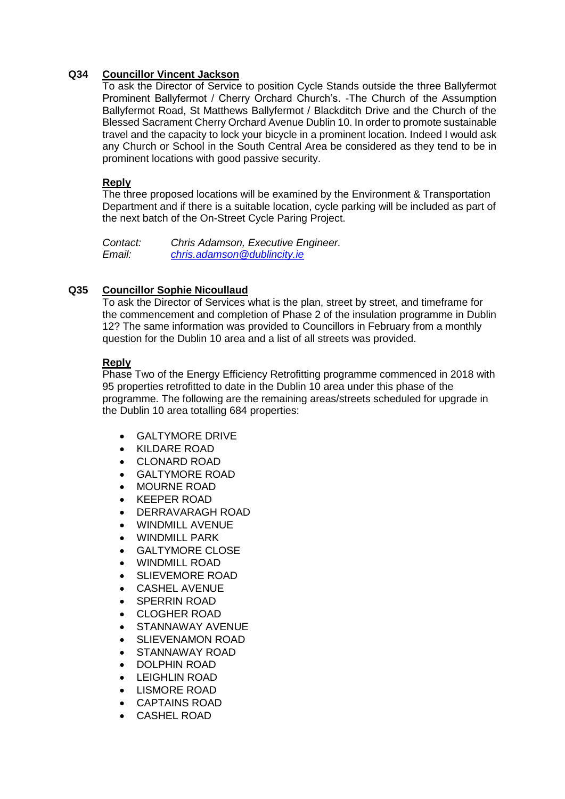# **Q34 Councillor Vincent Jackson**

To ask the Director of Service to position Cycle Stands outside the three Ballyfermot Prominent Ballyfermot / Cherry Orchard Church's. -The Church of the Assumption Ballyfermot Road, St Matthews Ballyfermot / Blackditch Drive and the Church of the Blessed Sacrament Cherry Orchard Avenue Dublin 10. In order to promote sustainable travel and the capacity to lock your bicycle in a prominent location. Indeed I would ask any Church or School in the South Central Area be considered as they tend to be in prominent locations with good passive security.

# **Reply**

The three proposed locations will be examined by the Environment & Transportation Department and if there is a suitable location, cycle parking will be included as part of the next batch of the On-Street Cycle Paring Project.

*Contact: Chris Adamson, Executive Engineer. Email: [chris.adamson@dublincity.ie](mailto:chris.adamson@dublincity.ie)*

# **Q35 Councillor Sophie Nicoullaud**

To ask the Director of Services what is the plan, street by street, and timeframe for the commencement and completion of Phase 2 of the insulation programme in Dublin 12? The same information was provided to Councillors in February from a monthly question for the Dublin 10 area and a list of all streets was provided.

# **Reply**

Phase Two of the Energy Efficiency Retrofitting programme commenced in 2018 with 95 properties retrofitted to date in the Dublin 10 area under this phase of the programme. The following are the remaining areas/streets scheduled for upgrade in the Dublin 10 area totalling 684 properties:

- GALTYMORE DRIVE
- KILDARE ROAD
- CLONARD ROAD
- GALTYMORE ROAD
- MOURNE ROAD
- KEEPER ROAD
- DERRAVARAGH ROAD
- WINDMILL AVENUE
- WINDMILL PARK
- GALTYMORE CLOSE
- WINDMILL ROAD
- SLIEVEMORE ROAD
- CASHEL AVENUE
- SPERRIN ROAD
- CLOGHER ROAD
- STANNAWAY AVENUE
- SLIEVENAMON ROAD
- STANNAWAY ROAD
- DOLPHIN ROAD
- LEIGHLIN ROAD
- LISMORE ROAD
- CAPTAINS ROAD
- CASHEL ROAD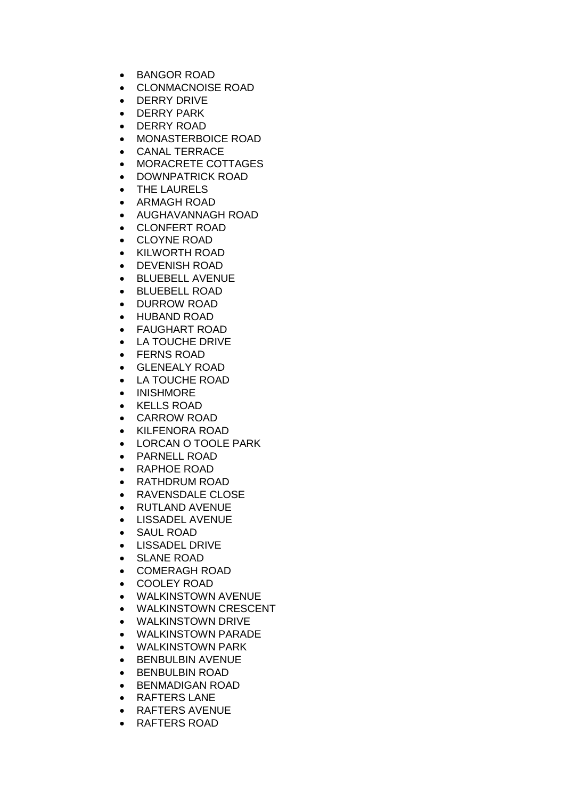- BANGOR ROAD
- CLONMACNOISE ROAD
- **•** DERRY DRIVE
- **•** DERRY PARK
- DERRY ROAD
- MONASTERBOICE ROAD
- CANAL TERRACE
- MORACRETE COTTAGES
- DOWNPATRICK ROAD
- THE LAURELS
- ARMAGH ROAD
- AUGHAVANNAGH ROAD
- CLONFERT ROAD
- CLOYNE ROAD
- KILWORTH ROAD
- DEVENISH ROAD
- BLUEBELL AVENUE
- BLUEBELL ROAD
- DURROW ROAD
- HUBAND ROAD
- FAUGHART ROAD
- LA TOUCHE DRIVE
- FERNS ROAD
- GLENEALY ROAD
- LA TOUCHE ROAD
- INISHMORE
- KELLS ROAD
- CARROW ROAD
- KILFENORA ROAD
- LORCAN O TOOLE PARK
- PARNELL ROAD
- RAPHOE ROAD
- RATHDRUM ROAD
- RAVENSDALE CLOSE
- RUTLAND AVENUE
- LISSADEL AVENUE
- SAUL ROAD
- LISSADEL DRIVE
- SLANE ROAD
- COMERAGH ROAD
- COOLEY ROAD
- WALKINSTOWN AVENUE
- WALKINSTOWN CRESCENT
- WALKINSTOWN DRIVE
- WALKINSTOWN PARADE
- WALKINSTOWN PARK
- **BENBULBIN AVENUE**
- BENBULBIN ROAD
- **BENMADIGAN ROAD**
- RAFTERS LANE
- RAFTERS AVENUE
- RAFTERS ROAD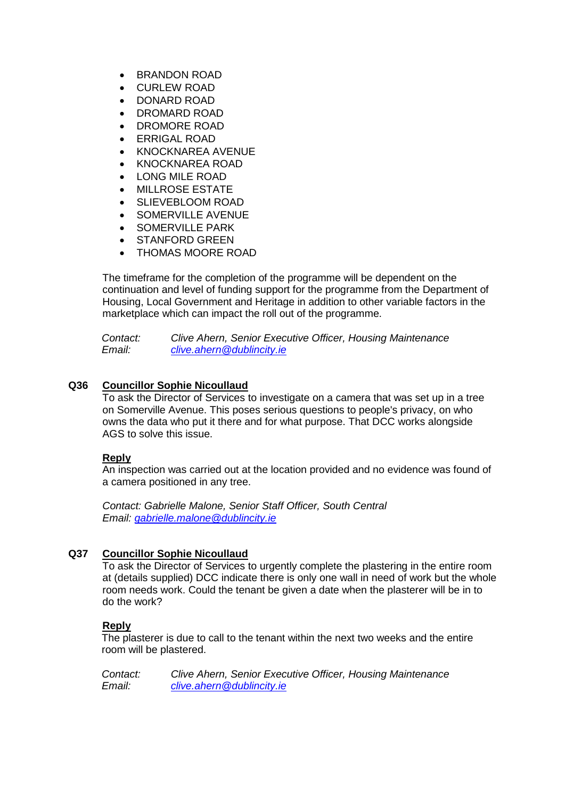- **BRANDON ROAD**
- CURLEW ROAD
- DONARD ROAD
- DROMARD ROAD
- DROMORE ROAD
- ERRIGAL ROAD
- KNOCKNAREA AVENUE
- KNOCKNAREA ROAD
- LONG MILE ROAD
- MILLROSE ESTATE
- SLIEVEBLOOM ROAD
- SOMERVILLE AVENUE
- SOMERVILLE PARK
- **STANFORD GREEN**
- THOMAS MOORE ROAD

The timeframe for the completion of the programme will be dependent on the continuation and level of funding support for the programme from the Department of Housing, Local Government and Heritage in addition to other variable factors in the marketplace which can impact the roll out of the programme.

*Contact: Clive Ahern, Senior Executive Officer, Housing Maintenance Email: [clive.ahern@dublincity.ie](mailto:clive.ahern@dublincity.ie)*

# **Q36 Councillor Sophie Nicoullaud**

To ask the Director of Services to investigate on a camera that was set up in a tree on Somerville Avenue. This poses serious questions to people's privacy, on who owns the data who put it there and for what purpose. That DCC works alongside AGS to solve this issue.

# **Reply**

An inspection was carried out at the location provided and no evidence was found of a camera positioned in any tree.

*Contact: Gabrielle Malone, Senior Staff Officer, South Central Email: [gabrielle.malone@dublincity.ie](mailto:gabrielle.malone@dublincity.ie)*

# **Q37 Councillor Sophie Nicoullaud**

To ask the Director of Services to urgently complete the plastering in the entire room at (details supplied) DCC indicate there is only one wall in need of work but the whole room needs work. Could the tenant be given a date when the plasterer will be in to do the work?

# **Reply**

The plasterer is due to call to the tenant within the next two weeks and the entire room will be plastered.

*Contact: Clive Ahern, Senior Executive Officer, Housing Maintenance Email: [clive.ahern@dublincity.ie](mailto:clive.ahern@dublincity.ie)*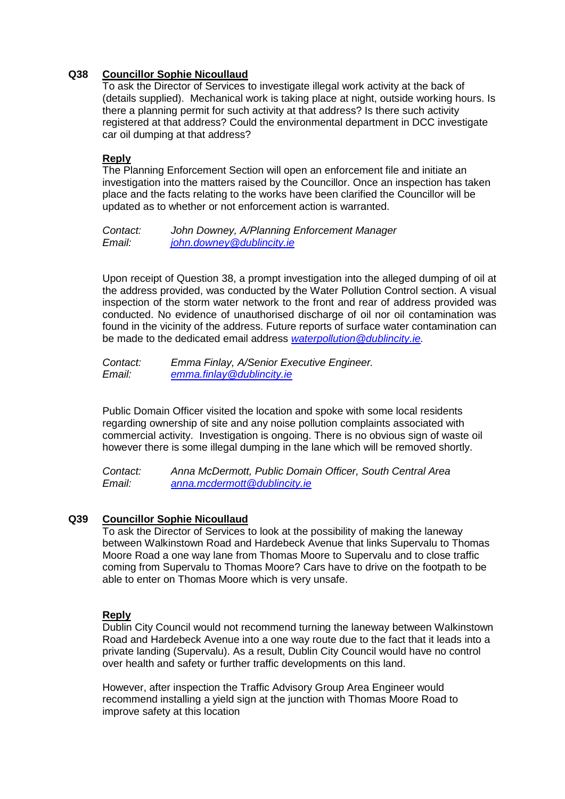# **Q38 Councillor Sophie Nicoullaud**

To ask the Director of Services to investigate illegal work activity at the back of (details supplied). Mechanical work is taking place at night, outside working hours. Is there a planning permit for such activity at that address? Is there such activity registered at that address? Could the environmental department in DCC investigate car oil dumping at that address?

# **Reply**

The Planning Enforcement Section will open an enforcement file and initiate an investigation into the matters raised by the Councillor. Once an inspection has taken place and the facts relating to the works have been clarified the Councillor will be updated as to whether or not enforcement action is warranted.

*Contact: John Downey, A/Planning Enforcement Manager Email: [john.downey@dublincity.ie](mailto:john.downey@dublincity.ie)*

Upon receipt of Question 38, a prompt investigation into the alleged dumping of oil at the address provided, was conducted by the Water Pollution Control section. A visual inspection of the storm water network to the front and rear of address provided was conducted. No evidence of unauthorised discharge of oil nor oil contamination was found in the vicinity of the address. Future reports of surface water contamination can be made to the dedicated email address *[waterpollution@dublincity.ie.](mailto:waterpollution@dublincity.ie)* 

*Contact: Emma Finlay, A/Senior Executive Engineer. Email: [emma.finlay@dublincity.ie](mailto:emma.finlay@dublincity.ie)*

Public Domain Officer visited the location and spoke with some local residents regarding ownership of site and any noise pollution complaints associated with commercial activity. Investigation is ongoing. There is no obvious sign of waste oil however there is some illegal dumping in the lane which will be removed shortly.

*Contact: Anna McDermott, Public Domain Officer, South Central Area Email: [anna.mcdermott@dublincity.ie](mailto:anna.mcdermott@dublincity.ie)*

# **Q39 Councillor Sophie Nicoullaud**

To ask the Director of Services to look at the possibility of making the laneway between Walkinstown Road and Hardebeck Avenue that links Supervalu to Thomas Moore Road a one way lane from Thomas Moore to Supervalu and to close traffic coming from Supervalu to Thomas Moore? Cars have to drive on the footpath to be able to enter on Thomas Moore which is very unsafe.

# **Reply**

Dublin City Council would not recommend turning the laneway between Walkinstown Road and Hardebeck Avenue into a one way route due to the fact that it leads into a private landing (Supervalu). As a result, Dublin City Council would have no control over health and safety or further traffic developments on this land.

However, after inspection the Traffic Advisory Group Area Engineer would recommend installing a yield sign at the junction with Thomas Moore Road to improve safety at this location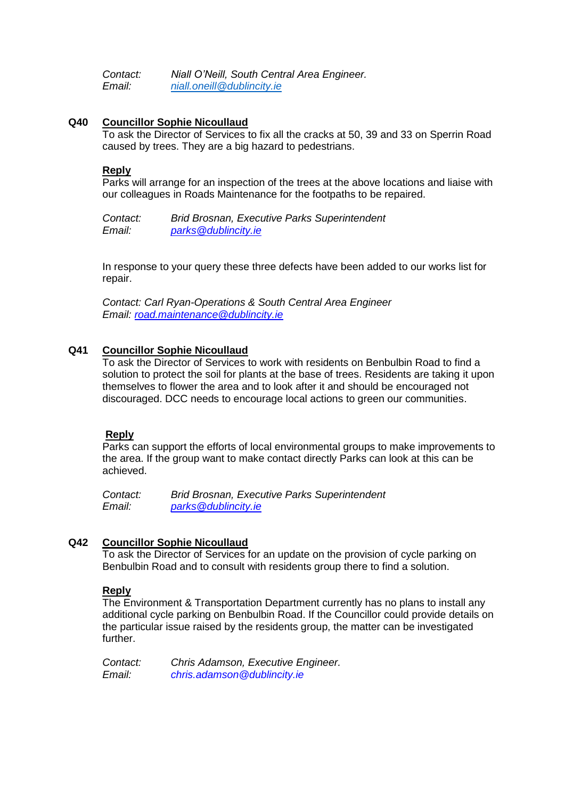*Contact: Niall O'Neill, South Central Area Engineer. Email: [niall.oneill@dublincity.ie](mailto:niall.oneill@dublincity.ie)*

### **Q40 Councillor Sophie Nicoullaud**

To ask the Director of Services to fix all the cracks at 50, 39 and 33 on Sperrin Road caused by trees. They are a big hazard to pedestrians.

### **Reply**

Parks will arrange for an inspection of the trees at the above locations and liaise with our colleagues in Roads Maintenance for the footpaths to be repaired.

*Contact: Brid Brosnan, Executive Parks Superintendent Email: [parks@dublincity.ie](mailto:parks@dublincity.ie)*

In response to your query these three defects have been added to our works list for repair.

*Contact: Carl Ryan-Operations & South Central Area Engineer Email: [road.maintenance@dublincity.ie](mailto:road.maintenance@dublincity.ie)*

### **Q41 Councillor Sophie Nicoullaud**

To ask the Director of Services to work with residents on Benbulbin Road to find a solution to protect the soil for plants at the base of trees. Residents are taking it upon themselves to flower the area and to look after it and should be encouraged not discouraged. DCC needs to encourage local actions to green our communities.

### **Reply**

Parks can support the efforts of local environmental groups to make improvements to the area. If the group want to make contact directly Parks can look at this can be achieved.

*Contact: Brid Brosnan, Executive Parks Superintendent Email: [parks@dublincity.ie](mailto:parks@dublincity.ie)*

### **Q42 Councillor Sophie Nicoullaud**

To ask the Director of Services for an update on the provision of cycle parking on Benbulbin Road and to consult with residents group there to find a solution.

# **Reply**

The Environment & Transportation Department currently has no plans to install any additional cycle parking on Benbulbin Road. If the Councillor could provide details on the particular issue raised by the residents group, the matter can be investigated further.

*Contact: Chris Adamson, Executive Engineer. Email: [chris.adamson@dublincity.ie](mailto:chris.adamson@dublincity.ie)*